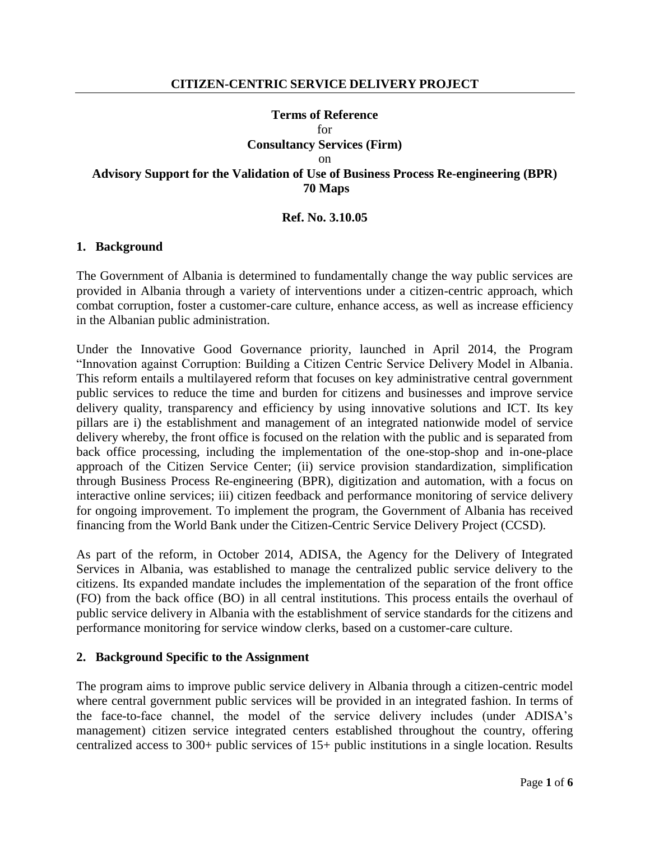# **Terms of Reference** for **Consultancy Services (Firm)** on **Advisory Support for the Validation of Use of Business Process Re-engineering (BPR) 70 Maps**

#### **Ref. No. 3.10.05**

#### **1. Background**

The Government of Albania is determined to fundamentally change the way public services are provided in Albania through a variety of interventions under a citizen-centric approach, which combat corruption, foster a customer-care culture, enhance access, as well as increase efficiency in the Albanian public administration.

Under the Innovative Good Governance priority, launched in April 2014, the Program "Innovation against Corruption: Building a Citizen Centric Service Delivery Model in Albania. This reform entails a multilayered reform that focuses on key administrative central government public services to reduce the time and burden for citizens and businesses and improve service delivery quality, transparency and efficiency by using innovative solutions and ICT. Its key pillars are i) the establishment and management of an integrated nationwide model of service delivery whereby, the front office is focused on the relation with the public and is separated from back office processing, including the implementation of the one-stop-shop and in-one-place approach of the Citizen Service Center; (ii) service provision standardization, simplification through Business Process Re-engineering (BPR), digitization and automation, with a focus on interactive online services; iii) citizen feedback and performance monitoring of service delivery for ongoing improvement. To implement the program, the Government of Albania has received financing from the World Bank under the Citizen-Centric Service Delivery Project (CCSD).

As part of the reform, in October 2014, ADISA, the Agency for the Delivery of Integrated Services in Albania, was established to manage the centralized public service delivery to the citizens. Its expanded mandate includes the implementation of the separation of the front office (FO) from the back office (BO) in all central institutions. This process entails the overhaul of public service delivery in Albania with the establishment of service standards for the citizens and performance monitoring for service window clerks, based on a customer-care culture.

#### **2. Background Specific to the Assignment**

The program aims to improve public service delivery in Albania through a citizen-centric model where central government public services will be provided in an integrated fashion. In terms of the face-to-face channel, the model of the service delivery includes (under ADISA's management) citizen service integrated centers established throughout the country, offering centralized access to 300+ public services of 15+ public institutions in a single location. Results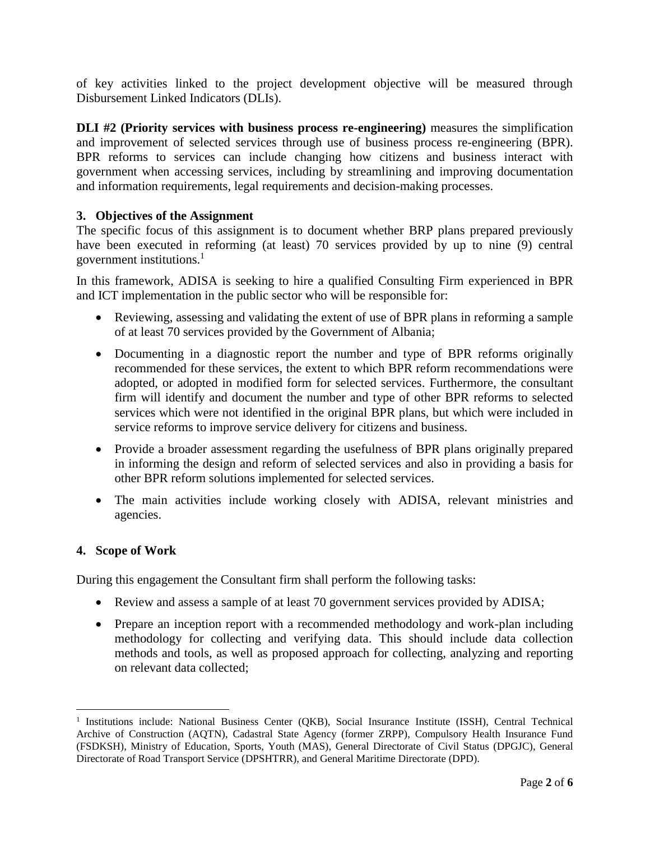of key activities linked to the project development objective will be measured through Disbursement Linked Indicators (DLIs).

**DLI #2 (Priority services with business process re-engineering)** measures the simplification and improvement of selected services through use of business process re-engineering (BPR). BPR reforms to services can include changing how citizens and business interact with government when accessing services, including by streamlining and improving documentation and information requirements, legal requirements and decision-making processes.

# **3. Objectives of the Assignment**

The specific focus of this assignment is to document whether BRP plans prepared previously have been executed in reforming (at least) 70 services provided by up to nine (9) central government institutions.<sup>1</sup>

In this framework, ADISA is seeking to hire a qualified Consulting Firm experienced in BPR and ICT implementation in the public sector who will be responsible for:

- Reviewing, assessing and validating the extent of use of BPR plans in reforming a sample of at least 70 services provided by the Government of Albania;
- Documenting in a diagnostic report the number and type of BPR reforms originally recommended for these services, the extent to which BPR reform recommendations were adopted, or adopted in modified form for selected services. Furthermore, the consultant firm will identify and document the number and type of other BPR reforms to selected services which were not identified in the original BPR plans, but which were included in service reforms to improve service delivery for citizens and business.
- Provide a broader assessment regarding the usefulness of BPR plans originally prepared in informing the design and reform of selected services and also in providing a basis for other BPR reform solutions implemented for selected services.
- The main activities include working closely with ADISA, relevant ministries and agencies.

### **4. Scope of Work**

 $\overline{a}$ 

During this engagement the Consultant firm shall perform the following tasks:

- Review and assess a sample of at least 70 government services provided by ADISA;
- Prepare an inception report with a recommended methodology and work-plan including methodology for collecting and verifying data. This should include data collection methods and tools, as well as proposed approach for collecting, analyzing and reporting on relevant data collected;

<sup>&</sup>lt;sup>1</sup> Institutions include: National Business Center (QKB), Social Insurance Institute (ISSH), Central Technical Archive of Construction (AQTN), Cadastral State Agency (former ZRPP), Compulsory Health Insurance Fund (FSDKSH), Ministry of Education, Sports, Youth (MAS), General Directorate of Civil Status (DPGJC), General Directorate of Road Transport Service (DPSHTRR), and General Maritime Directorate (DPD).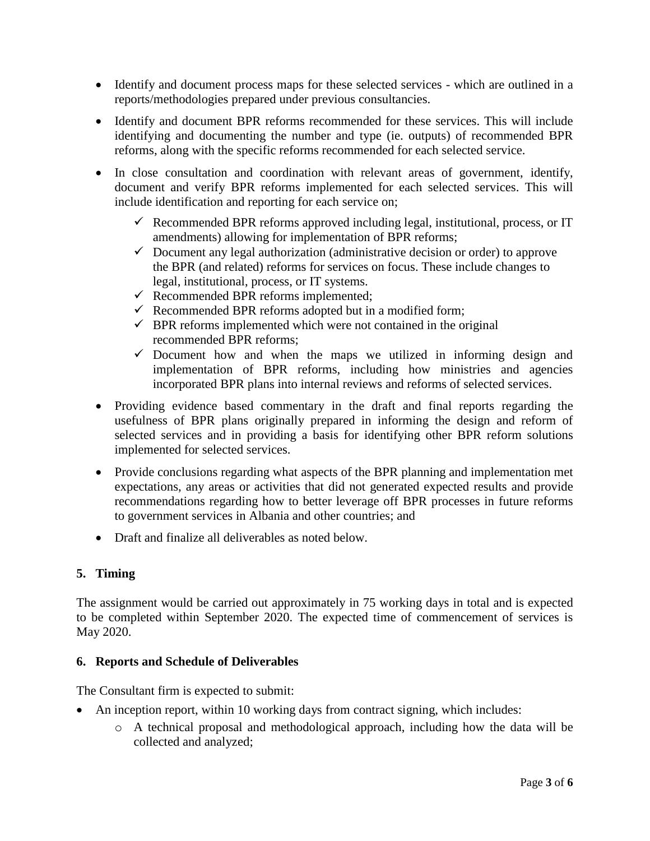- Identify and document process maps for these selected services which are outlined in a reports/methodologies prepared under previous consultancies.
- Identify and document BPR reforms recommended for these services. This will include identifying and documenting the number and type (ie. outputs) of recommended BPR reforms, along with the specific reforms recommended for each selected service.
- In close consultation and coordination with relevant areas of government, identify, document and verify BPR reforms implemented for each selected services. This will include identification and reporting for each service on;
	- $\checkmark$  Recommended BPR reforms approved including legal, institutional, process, or IT amendments) allowing for implementation of BPR reforms;
	- $\checkmark$  Document any legal authorization (administrative decision or order) to approve the BPR (and related) reforms for services on focus. These include changes to legal, institutional, process, or IT systems.
	- $\checkmark$  Recommended BPR reforms implemented;
	- $\checkmark$  Recommended BPR reforms adopted but in a modified form;
	- $\checkmark$  BPR reforms implemented which were not contained in the original recommended BPR reforms;
	- $\checkmark$  Document how and when the maps we utilized in informing design and implementation of BPR reforms, including how ministries and agencies incorporated BPR plans into internal reviews and reforms of selected services.
- Providing evidence based commentary in the draft and final reports regarding the usefulness of BPR plans originally prepared in informing the design and reform of selected services and in providing a basis for identifying other BPR reform solutions implemented for selected services.
- Provide conclusions regarding what aspects of the BPR planning and implementation met expectations, any areas or activities that did not generated expected results and provide recommendations regarding how to better leverage off BPR processes in future reforms to government services in Albania and other countries; and
- Draft and finalize all deliverables as noted below.

# **5. Timing**

The assignment would be carried out approximately in 75 working days in total and is expected to be completed within September 2020. The expected time of commencement of services is May 2020.

### **6. Reports and Schedule of Deliverables**

The Consultant firm is expected to submit:

- An inception report, within 10 working days from contract signing, which includes:
	- o A technical proposal and methodological approach, including how the data will be collected and analyzed;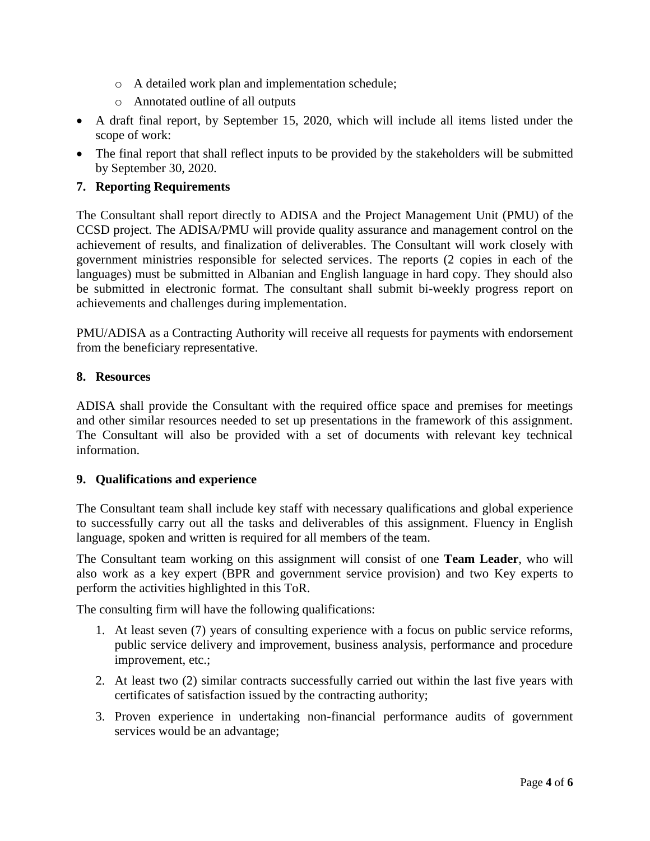- o A detailed work plan and implementation schedule;
- o Annotated outline of all outputs
- A draft final report, by September 15, 2020, which will include all items listed under the scope of work:
- The final report that shall reflect inputs to be provided by the stakeholders will be submitted by September 30, 2020.

# **7. Reporting Requirements**

The Consultant shall report directly to ADISA and the Project Management Unit (PMU) of the CCSD project. The ADISA/PMU will provide quality assurance and management control on the achievement of results, and finalization of deliverables. The Consultant will work closely with government ministries responsible for selected services. The reports (2 copies in each of the languages) must be submitted in Albanian and English language in hard copy. They should also be submitted in electronic format. The consultant shall submit bi-weekly progress report on achievements and challenges during implementation.

PMU/ADISA as a Contracting Authority will receive all requests for payments with endorsement from the beneficiary representative.

### **8. Resources**

ADISA shall provide the Consultant with the required office space and premises for meetings and other similar resources needed to set up presentations in the framework of this assignment. The Consultant will also be provided with a set of documents with relevant key technical information.

### **9. Qualifications and experience**

The Consultant team shall include key staff with necessary qualifications and global experience to successfully carry out all the tasks and deliverables of this assignment. Fluency in English language, spoken and written is required for all members of the team.

The Consultant team working on this assignment will consist of one **Team Leader**, who will also work as a key expert (BPR and government service provision) and two Key experts to perform the activities highlighted in this ToR.

The consulting firm will have the following qualifications:

- 1. At least seven (7) years of consulting experience with a focus on public service reforms, public service delivery and improvement, business analysis, performance and procedure improvement, etc.;
- 2. At least two (2) similar contracts successfully carried out within the last five years with certificates of satisfaction issued by the contracting authority;
- 3. Proven experience in undertaking non-financial performance audits of government services would be an advantage;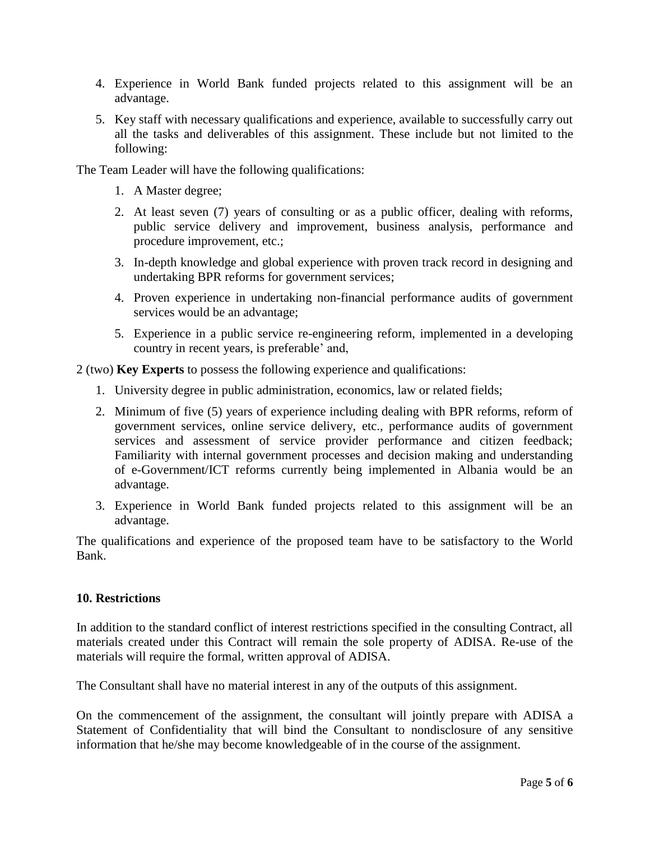- 4. Experience in World Bank funded projects related to this assignment will be an advantage.
- 5. Key staff with necessary qualifications and experience, available to successfully carry out all the tasks and deliverables of this assignment. These include but not limited to the following:

The Team Leader will have the following qualifications:

- 1. A Master degree;
- 2. At least seven (7) years of consulting or as a public officer, dealing with reforms, public service delivery and improvement, business analysis, performance and procedure improvement, etc.;
- 3. In-depth knowledge and global experience with proven track record in designing and undertaking BPR reforms for government services;
- 4. Proven experience in undertaking non-financial performance audits of government services would be an advantage;
- 5. Experience in a public service re-engineering reform, implemented in a developing country in recent years, is preferable' and,

2 (two) **Key Experts** to possess the following experience and qualifications:

- 1. University degree in public administration, economics, law or related fields;
- 2. Minimum of five (5) years of experience including dealing with BPR reforms, reform of government services, online service delivery, etc., performance audits of government services and assessment of service provider performance and citizen feedback; Familiarity with internal government processes and decision making and understanding of e-Government/ICT reforms currently being implemented in Albania would be an advantage.
- 3. Experience in World Bank funded projects related to this assignment will be an advantage.

The qualifications and experience of the proposed team have to be satisfactory to the World Bank.

### **10. Restrictions**

In addition to the standard conflict of interest restrictions specified in the consulting Contract, all materials created under this Contract will remain the sole property of ADISA. Re-use of the materials will require the formal, written approval of ADISA.

The Consultant shall have no material interest in any of the outputs of this assignment.

On the commencement of the assignment, the consultant will jointly prepare with ADISA a Statement of Confidentiality that will bind the Consultant to nondisclosure of any sensitive information that he/she may become knowledgeable of in the course of the assignment.